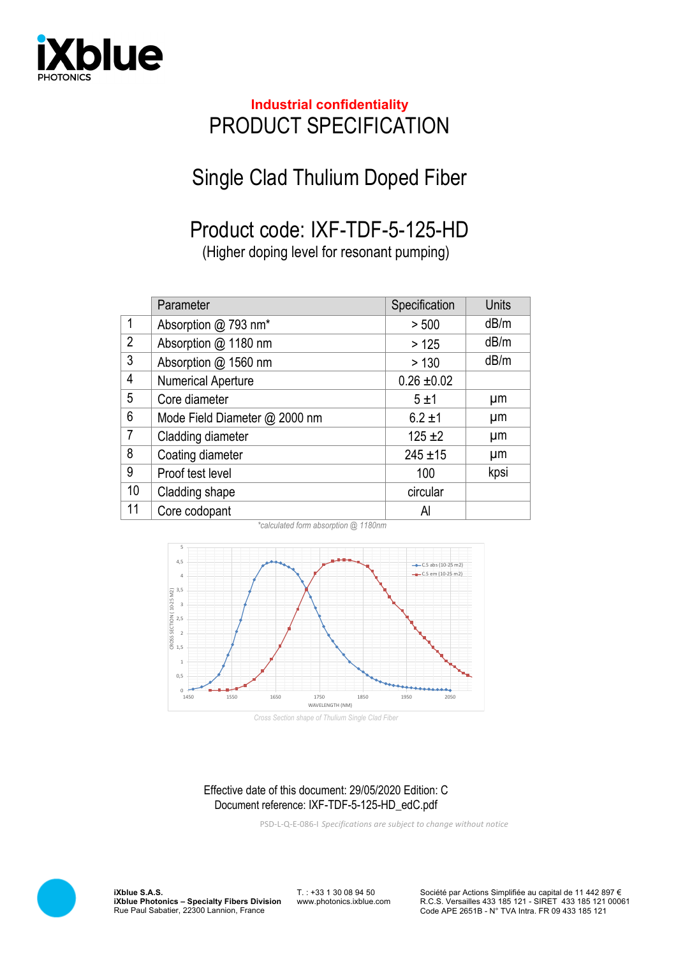

## **Industrial confidentiality** PRODUCT SPECIFICATION

## Single Clad Thulium Doped Fiber

## Product code: IXF-TDF-5-125-HD

(Higher doping level for resonant pumping)

|                | Parameter                     | Specification   | <b>Units</b> |
|----------------|-------------------------------|-----------------|--------------|
| $\mathbf{1}$   | Absorption @ 793 nm*          | > 500           | dB/m         |
| $\overline{2}$ | Absorption @ 1180 nm          | >125            | dB/m         |
| $\mathfrak{Z}$ | Absorption @ 1560 nm          | > 130           | dB/m         |
| 4              | <b>Numerical Aperture</b>     | $0.26 \pm 0.02$ |              |
| 5              | Core diameter                 | 5±1             | μm           |
| 6              | Mode Field Diameter @ 2000 nm | $6.2 \pm 1$     | μm           |
| $\overline{7}$ | Cladding diameter             | $125 + 2$       | μm           |
| 8              | Coating diameter              | $245 + 15$      | μm           |
| 9              | Proof test level              | 100             | kpsi         |
| 10             | Cladding shape                | circular        |              |
| 11             | Core codopant                 | Al              |              |



*\*calculated form absorption @ 1180nm*

*Cross Section shape of Thulium Single Clad Fiber*

## Effective date of this document: 29/05/2020 Edition: C Document reference: IXF-TDF-5-125-HD\_edC.pdf

PSD-L-Q-E-086-I *Specifications are subject to change without notice*



**iXblue S.A.S. iXblue Photonics – Specialty Fibers Division** Rue Paul Sabatier, 22300 Lannion, France

T. : +33 1 30 08 94 50 www.photonics.ixblue.com Société par Actions Simplifiée au capital de 11 442 897 € R.C.S. Versailles 433 185 121 - SIRET 433 185 121 00061 Code APE 2651B - N° TVA Intra. FR 09 433 185 121